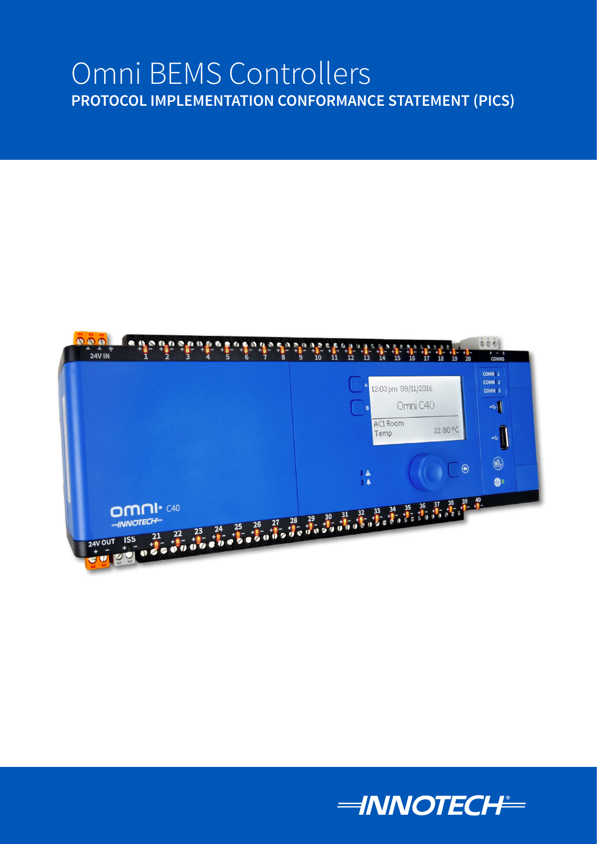# Omni BEMS Controllers **PROTOCOL IMPLEMENTATION CONFORMANCE STATEMENT (PICS)**



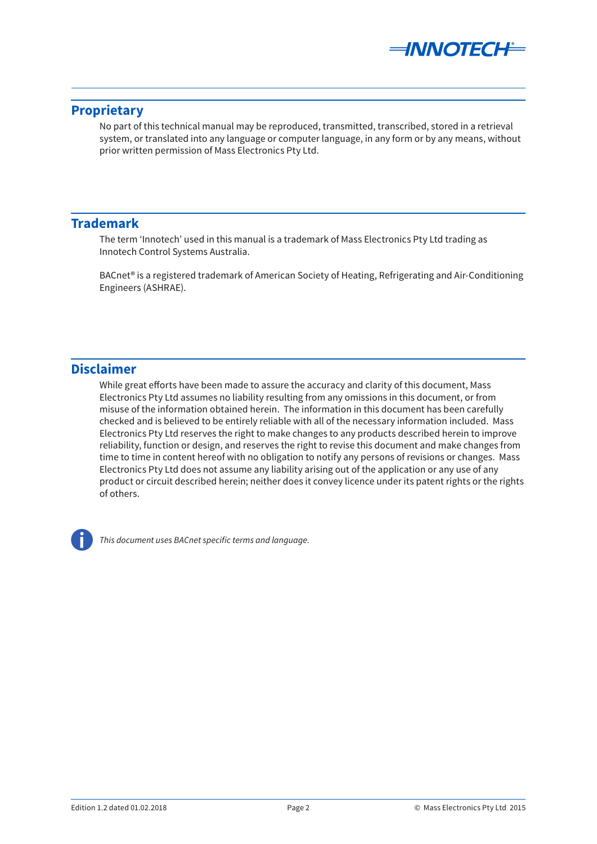

# <span id="page-1-0"></span>**Proprietary**

No part of this technical manual may be reproduced, transmitted, transcribed, stored in a retrieval system, or translated into any language or computer language, in any form or by any means, without prior written permission of Mass Electronics Pty Ltd.

# **Trademark**

The term 'Innotech' used in this manual is a trademark of Mass Electronics Pty Ltd trading as Innotech Control Systems Australia.

BACnet® is a registered trademark of American Society of Heating, Refrigerating and Air-Conditioning Engineers (ASHRAE).

# **Disclaimer**

While great efforts have been made to assure the accuracy and clarity of this document, Mass Electronics Pty Ltd assumes no liability resulting from any omissions in this document, or from misuse of the information obtained herein. The information in this document has been carefully checked and is believed to be entirely reliable with all of the necessary information included. Mass Electronics Pty Ltd reserves the right to make changes to any products described herein to improve reliability, function or design, and reserves the right to revise this document and make changes from time to time in content hereof with no obligation to notify any persons of revisions or changes. Mass Electronics Pty Ltd does not assume any liability arising out of the application or any use of any product or circuit described herein; neither does it convey licence under its patent rights or the rights of others.



*This document uses BACnet specific terms and language.*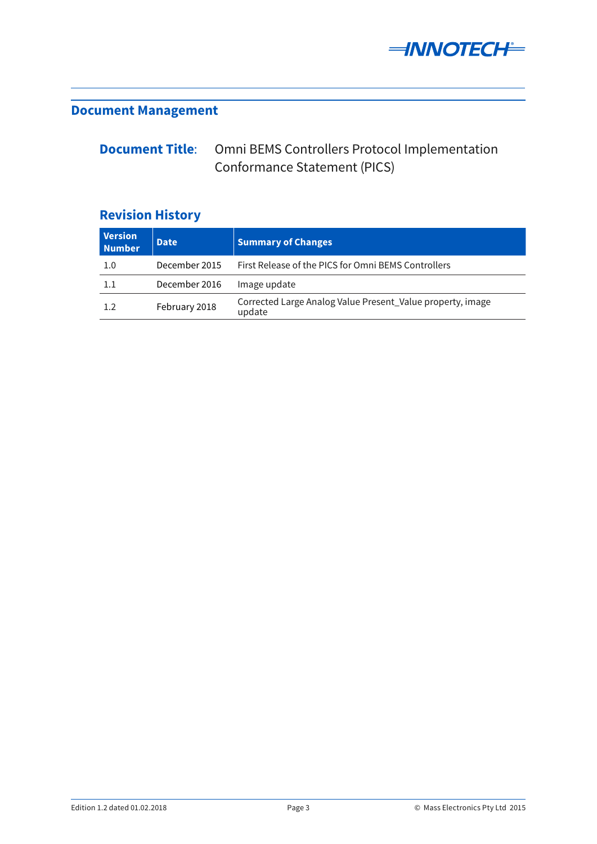

# <span id="page-2-0"></span>**Document Management**

#### **Document Title**: Omni BEMS Controllers Protocol Implementation Conformance Statement (PICS)

# **Revision History**

| <b>Version</b><br><b>Number</b> | <b>Date</b>   | <b>Summary of Changes</b>                                            |
|---------------------------------|---------------|----------------------------------------------------------------------|
| 1.0                             | December 2015 | First Release of the PICS for Omni BEMS Controllers                  |
| 1.1                             | December 2016 | Image update                                                         |
| 1.2                             | February 2018 | Corrected Large Analog Value Present_Value property, image<br>update |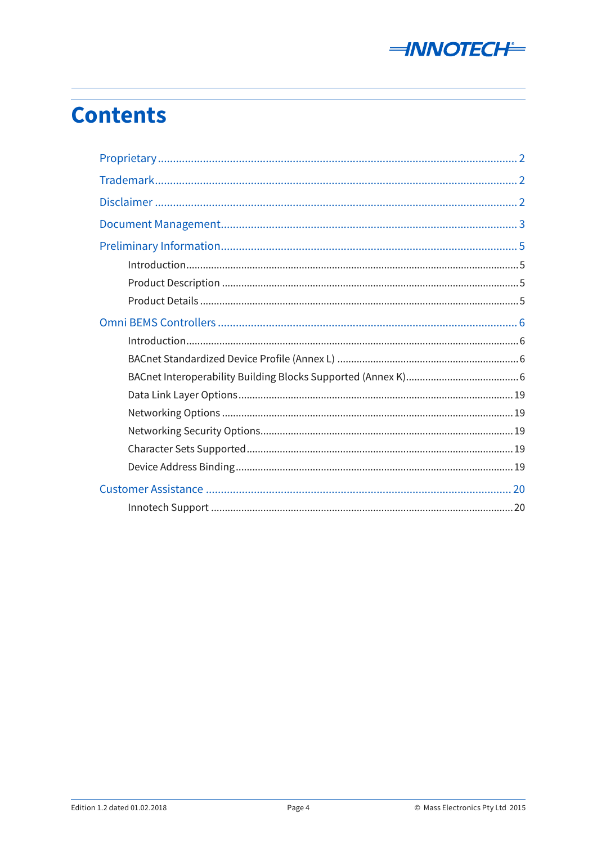

# **Contents**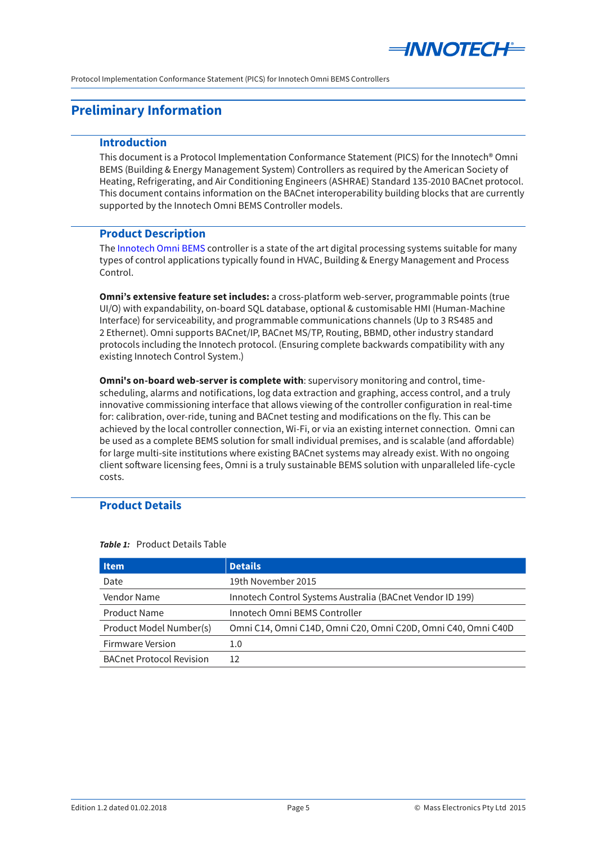

# <span id="page-4-0"></span>**Preliminary Information**

#### **Introduction**

This document is a Protocol Implementation Conformance Statement (PICS) for the Innotech® Omni BEMS (Building & Energy Management System) Controllers as required by the American Society of Heating, Refrigerating, and Air Conditioning Engineers (ASHRAE) Standard 135-2010 BACnet protocol. This document contains information on the BACnet interoperability building blocks that are currently supported by the Innotech Omni BEMS Controller models.

#### **Product Description**

The [Innotech Omni BEMS](http://www.innotech.com.au) controller is a state of the art digital processing systems suitable for many types of control applications typically found in HVAC, Building & Energy Management and Process Control.

**Omni's extensive feature set includes:** a cross-platform web-server, programmable points (true UI/O) with expandability, on-board SQL database, optional & customisable HMI (Human-Machine Interface) for serviceability, and programmable communications channels (Up to 3 RS485 and 2 Ethernet). Omni supports BACnet/IP, BACnet MS/TP, Routing, BBMD, other industry standard protocols including the Innotech protocol. (Ensuring complete backwards compatibility with any existing Innotech Control System.)

**Omni's on-board web-server is complete with**: supervisory monitoring and control, timescheduling, alarms and notifications, log data extraction and graphing, access control, and a truly innovative commissioning interface that allows viewing of the controller configuration in real-time for: calibration, over-ride, tuning and BACnet testing and modifications on the fly. This can be achieved by the local controller connection, Wi-Fi, or via an existing internet connection. Omni can be used as a complete BEMS solution for small individual premises, and is scalable (and affordable) for large multi-site institutions where existing BACnet systems may already exist. With no ongoing client software licensing fees, Omni is a truly sustainable BEMS solution with unparalleled life-cycle costs.

### **Product Details**

| <b>Item</b>                     | <b>Details</b>                                                |
|---------------------------------|---------------------------------------------------------------|
| Date                            | 19th November 2015                                            |
| Vendor Name                     | Innotech Control Systems Australia (BACnet Vendor ID 199)     |
| Product Name                    | Innotech Omni BEMS Controller                                 |
| Product Model Number(s)         | Omni C14, Omni C14D, Omni C20, Omni C20D, Omni C40, Omni C40D |
| Firmware Version                | 1.0                                                           |
| <b>BACnet Protocol Revision</b> | 12                                                            |

**Table 1:** Product Details Table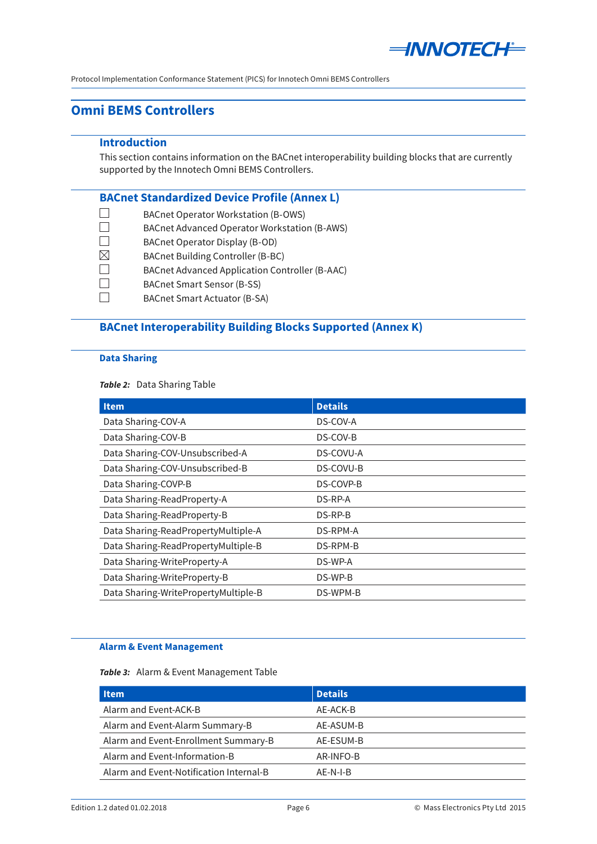

# <span id="page-5-0"></span>**Omni BEMS Controllers**

#### **Introduction**

This section contains information on the BACnet interoperability building blocks that are currently supported by the Innotech Omni BEMS Controllers.

#### **BACnet Standardized Device Profile (Annex L)**

- $\Box$ BACnet Operator Workstation (B-OWS)
- $\Box$ BACnet Advanced Operator Workstation (B-AWS)
- $\Box$ BACnet Operator Display (B-OD)
- $\boxtimes$ BACnet Building Controller (B-BC)
- $\Box$ BACnet Advanced Application Controller (B-AAC)
- $\Box$ BACnet Smart Sensor (B-SS)
- $\Box$ BACnet Smart Actuator (B-SA)

# **BACnet Interoperability Building Blocks Supported (Annex K)**

#### **Data Sharing**

#### **Table 2:** Data Sharing Table

| <b>Item</b>                          | <b>Details</b> |
|--------------------------------------|----------------|
| Data Sharing-COV-A                   | DS-COV-A       |
| Data Sharing-COV-B                   | DS-COV-B       |
| Data Sharing-COV-Unsubscribed-A      | DS-COVU-A      |
| Data Sharing-COV-Unsubscribed-B      | DS-COVU-B      |
| Data Sharing-COVP-B                  | DS-COVP-B      |
| Data Sharing-ReadProperty-A          | DS-RP-A        |
| Data Sharing-ReadProperty-B          | DS-RP-B        |
| Data Sharing-ReadPropertyMultiple-A  | DS-RPM-A       |
| Data Sharing-ReadPropertyMultiple-B  | DS-RPM-B       |
| Data Sharing-WriteProperty-A         | DS-WP-A        |
| Data Sharing-WriteProperty-B         | DS-WP-B        |
| Data Sharing-WritePropertyMultiple-B | DS-WPM-B       |

#### **Alarm & Event Management**

#### Table 3: Alarm & Event Management Table

| <b>Details</b> |
|----------------|
| AE-ACK-B       |
| AE-ASUM-B      |
| AE-ESUM-B      |
| AR-INFO-B      |
| AF-N-I-B       |
|                |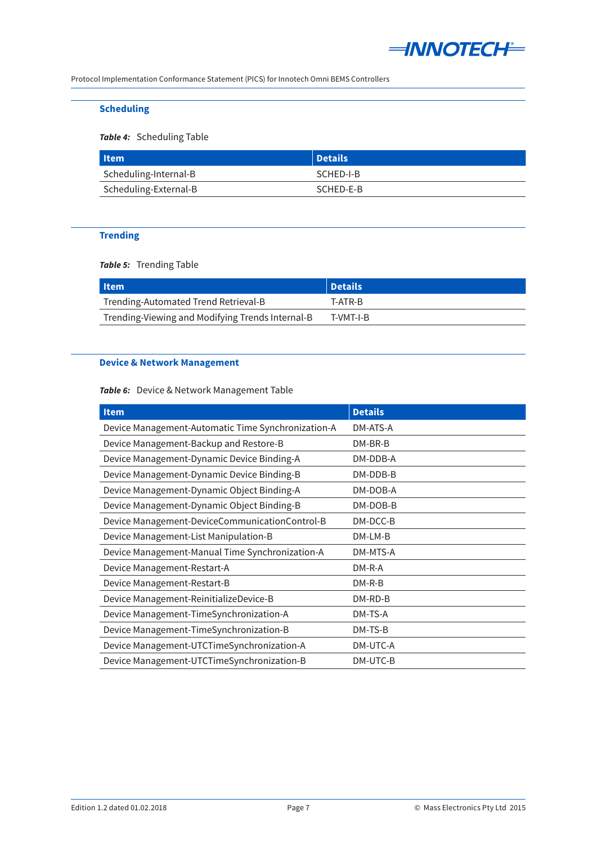

### **Scheduling**

#### **Table 4:** Scheduling Table

| l Item                | Details   |
|-----------------------|-----------|
| Scheduling-Internal-B | SCHED-I-B |
| Scheduling-External-B | SCHED-E-B |

#### **Trending**

**Table 5:** Trending Table

| l Item                                           | Details   |
|--------------------------------------------------|-----------|
| Trending-Automated Trend Retrieval-B             | T-ATR-B   |
| Trending-Viewing and Modifying Trends Internal-B | T-VMT-I-B |

### **Device & Network Management**

### Table 6: Device & Network Management Table

| Item                                               | <b>Details</b> |
|----------------------------------------------------|----------------|
| Device Management-Automatic Time Synchronization-A | DM-ATS-A       |
| Device Management-Backup and Restore-B             | $DM-BR-B$      |
| Device Management-Dynamic Device Binding-A         | DM-DDB-A       |
| Device Management-Dynamic Device Binding-B         | DM-DDB-B       |
| Device Management-Dynamic Object Binding-A         | DM-DOB-A       |
| Device Management-Dynamic Object Binding-B         | DM-DOB-B       |
| Device Management-DeviceCommunicationControl-B     | DM-DCC-B       |
| Device Management-List Manipulation-B              | DM-LM-B        |
| Device Management-Manual Time Synchronization-A    | DM-MTS-A       |
| Device Management-Restart-A                        | $DM-R-A$       |
| Device Management-Restart-B                        | $DM-R-B$       |
| Device Management-ReinitializeDevice-B             | DM-RD-B        |
| Device Management-TimeSynchronization-A            | DM-TS-A        |
| Device Management-TimeSynchronization-B            | DM-TS-B        |
| Device Management-UTCTimeSynchronization-A         | DM-UTC-A       |
| Device Management-UTCTimeSynchronization-B         | DM-UTC-B       |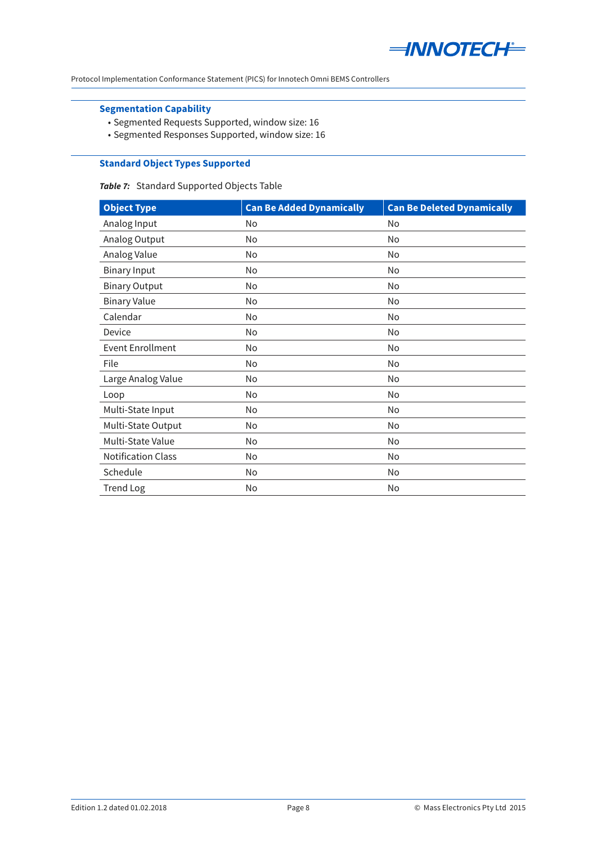

### **Segmentation Capability**

- • Segmented Requests Supported, window size: 16
- • Segmented Responses Supported, window size: 16

### **Standard Object Types Supported**

#### Table 7: Standard Supported Objects Table

| <b>Object Type</b>        | <b>Can Be Added Dynamically</b> | <b>Can Be Deleted Dynamically</b> |
|---------------------------|---------------------------------|-----------------------------------|
| Analog Input              | No                              | No                                |
| Analog Output             | No                              | No                                |
| Analog Value              | No                              | No                                |
| <b>Binary Input</b>       | No                              | No                                |
| <b>Binary Output</b>      | No                              | No                                |
| <b>Binary Value</b>       | No                              | No                                |
| Calendar                  | No                              | No                                |
| Device                    | No                              | No                                |
| <b>Event Enrollment</b>   | No                              | No                                |
| File                      | No                              | No                                |
| Large Analog Value        | No                              | No                                |
| Loop                      | No                              | No                                |
| Multi-State Input         | No                              | No                                |
| Multi-State Output        | No                              | No                                |
| Multi-State Value         | No                              | No                                |
| <b>Notification Class</b> | No                              | No                                |
| Schedule                  | No                              | No                                |
| <b>Trend Log</b>          | No                              | No                                |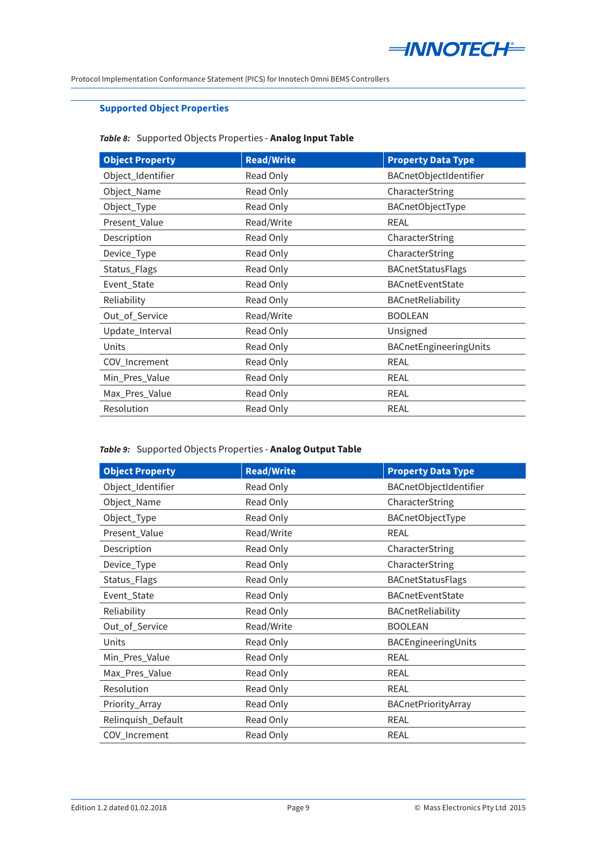

### **Supported Object Properties**

### *Table 8:* Supported Objects Properties - **Analog Input Table**

| <b>Object Property</b> | <b>Read/Write</b> | <b>Property Data Type</b> |
|------------------------|-------------------|---------------------------|
| Object_Identifier      | Read Only         | BACnetObjectIdentifier    |
| Object_Name            | Read Only         | CharacterString           |
| Object_Type            | Read Only         | <b>BACnetObjectType</b>   |
| Present_Value          | Read/Write        | <b>REAL</b>               |
| Description            | Read Only         | CharacterString           |
| Device_Type            | Read Only         | CharacterString           |
| Status_Flags           | Read Only         | <b>BACnetStatusFlags</b>  |
| Event_State            | Read Only         | <b>BACnetEventState</b>   |
| Reliability            | Read Only         | BACnetReliability         |
| Out_of_Service         | Read/Write        | <b>BOOLEAN</b>            |
| Update_Interval        | Read Only         | Unsigned                  |
| Units                  | Read Only         | BACnetEngineeringUnits    |
| COV_Increment          | Read Only         | <b>REAL</b>               |
| Min_Pres_Value         | Read Only         | <b>REAL</b>               |
| Max_Pres_Value         | Read Only         | <b>REAL</b>               |
| Resolution             | Read Only         | <b>REAL</b>               |

### *Table 9:* Supported Objects Properties - **Analog Output Table**

| <b>Object Property</b> | <b>Read/Write</b> | <b>Property Data Type</b> |
|------------------------|-------------------|---------------------------|
| Object_Identifier      | Read Only         | BACnetObjectIdentifier    |
| Object_Name            | Read Only         | CharacterString           |
| Object_Type            | Read Only         | BACnetObjectType          |
| Present_Value          | Read/Write        | <b>REAL</b>               |
| Description            | Read Only         | CharacterString           |
| Device_Type            | Read Only         | CharacterString           |
| Status_Flags           | Read Only         | <b>BACnetStatusFlags</b>  |
| Event_State            | Read Only         | <b>BACnetEventState</b>   |
| Reliability            | Read Only         | BACnetReliability         |
| Out_of_Service         | Read/Write        | <b>BOOLEAN</b>            |
| Units                  | Read Only         | BACEngineeringUnits       |
| Min_Pres_Value         | Read Only         | <b>REAL</b>               |
| Max_Pres_Value         | Read Only         | <b>REAL</b>               |
| Resolution             | Read Only         | <b>REAL</b>               |
| Priority_Array         | Read Only         | BACnetPriorityArray       |
| Relinquish_Default     | Read Only         | <b>REAL</b>               |
| COV_Increment          | Read Only         | <b>REAL</b>               |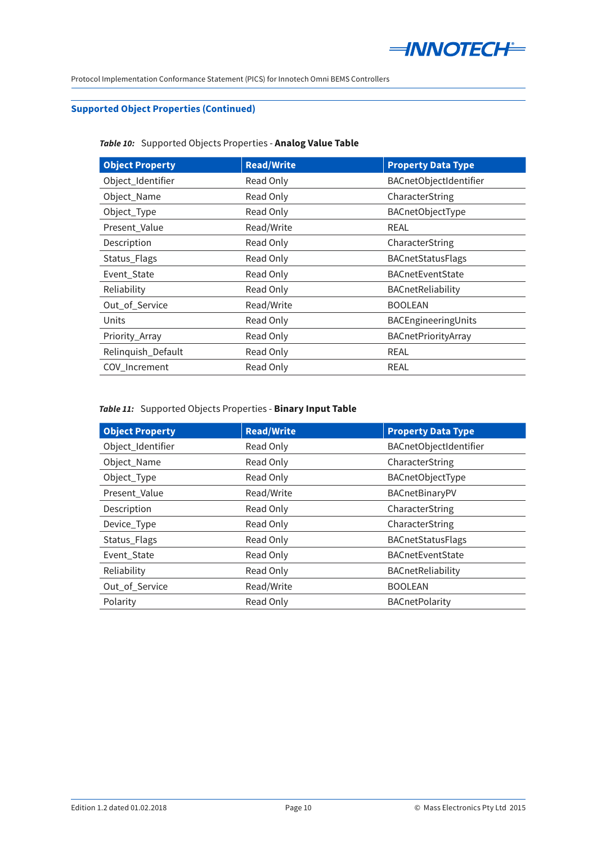

### **Supported Object Properties (Continued)**

### Table 10: Supported Objects Properties - Analog Value Table

| <b>Object Property</b> | <b>Read/Write</b> | <b>Property Data Type</b> |
|------------------------|-------------------|---------------------------|
| Object_Identifier      | Read Only         | BACnetObjectIdentifier    |
| Object_Name            | Read Only         | CharacterString           |
| Object_Type            | Read Only         | BACnetObjectType          |
| Present_Value          | Read/Write        | <b>REAL</b>               |
| Description            | Read Only         | CharacterString           |
| Status_Flags           | Read Only         | BACnetStatusFlags         |
| Event_State            | Read Only         | <b>BACnetEventState</b>   |
| Reliability            | Read Only         | BACnetReliability         |
| Out_of_Service         | Read/Write        | <b>BOOLEAN</b>            |
| Units                  | Read Only         | BACEngineeringUnits       |
| Priority_Array         | Read Only         | BACnetPriorityArray       |
| Relinquish_Default     | Read Only         | <b>REAL</b>               |
| COV_Increment          | Read Only         | <b>REAL</b>               |

#### *Table 11:* Supported Objects Properties - **Binary Input Table**

| <b>Object Property</b> | <b>Read/Write</b> | <b>Property Data Type</b> |
|------------------------|-------------------|---------------------------|
| Object_Identifier      | Read Only         | BACnetObjectIdentifier    |
| Object_Name            | Read Only         | CharacterString           |
| Object_Type            | Read Only         | BACnetObjectType          |
| Present Value          | Read/Write        | BACnetBinaryPV            |
| Description            | Read Only         | CharacterString           |
| Device_Type            | Read Only         | CharacterString           |
| Status_Flags           | Read Only         | <b>BACnetStatusFlags</b>  |
| Event_State            | Read Only         | <b>BACnetEventState</b>   |
| Reliability            | Read Only         | BACnetReliability         |
| Out_of_Service         | Read/Write        | <b>BOOLEAN</b>            |
| Polarity               | Read Only         | <b>BACnetPolarity</b>     |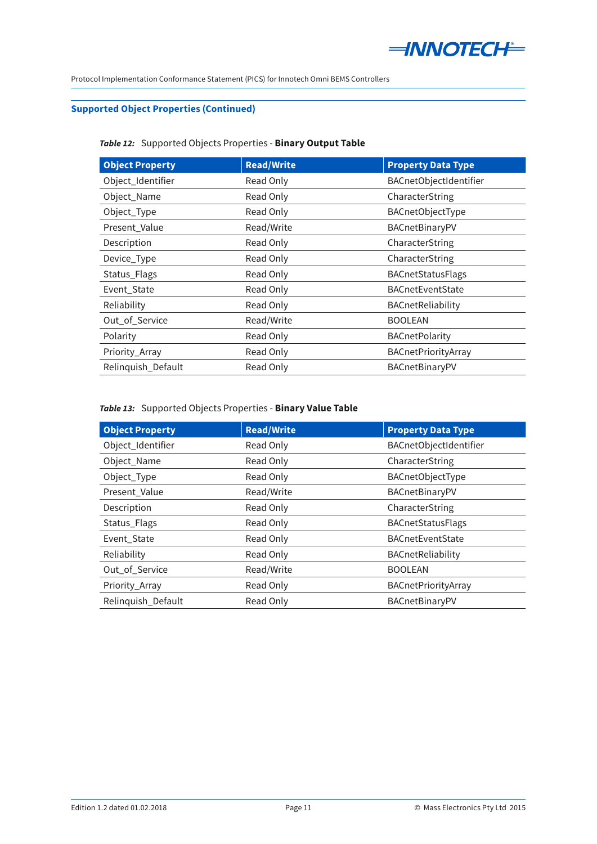

### **Supported Object Properties (Continued)**

### *Table 12:* Supported Objects Properties - **Binary Output Table**

| <b>Object Property</b> | <b>Read/Write</b> | <b>Property Data Type</b> |
|------------------------|-------------------|---------------------------|
| Object_Identifier      | Read Only         | BACnetObjectIdentifier    |
| Object_Name            | Read Only         | CharacterString           |
| Object_Type            | Read Only         | BACnetObjectType          |
| Present_Value          | Read/Write        | BACnetBinaryPV            |
| Description            | Read Only         | CharacterString           |
| Device_Type            | Read Only         | CharacterString           |
| Status_Flags           | Read Only         | <b>BACnetStatusFlags</b>  |
| Event_State            | Read Only         | <b>BACnetEventState</b>   |
| Reliability            | Read Only         | BACnetReliability         |
| Out_of_Service         | Read/Write        | <b>BOOLEAN</b>            |
| Polarity               | Read Only         | <b>BACnetPolarity</b>     |
| Priority_Array         | Read Only         | BACnetPriorityArray       |
| Relinquish_Default     | Read Only         | BACnetBinaryPV            |

# *Table 13:* Supported Objects Properties - **Binary Value Table**

| <b>Object Property</b> | <b>Read/Write</b> | <b>Property Data Type</b> |
|------------------------|-------------------|---------------------------|
| Object_Identifier      | Read Only         | BACnetObjectIdentifier    |
| Object_Name            | Read Only         | CharacterString           |
| Object_Type            | Read Only         | BACnetObjectType          |
| Present Value          | Read/Write        | BACnetBinaryPV            |
| Description            | Read Only         | CharacterString           |
| Status_Flags           | Read Only         | <b>BACnetStatusFlags</b>  |
| Event_State            | Read Only         | <b>BACnetEventState</b>   |
| Reliability            | Read Only         | BACnetReliability         |
| Out_of_Service         | Read/Write        | <b>BOOLEAN</b>            |
| Priority_Array         | Read Only         | BACnetPriorityArray       |
| Relinguish Default     | Read Only         | BACnetBinaryPV            |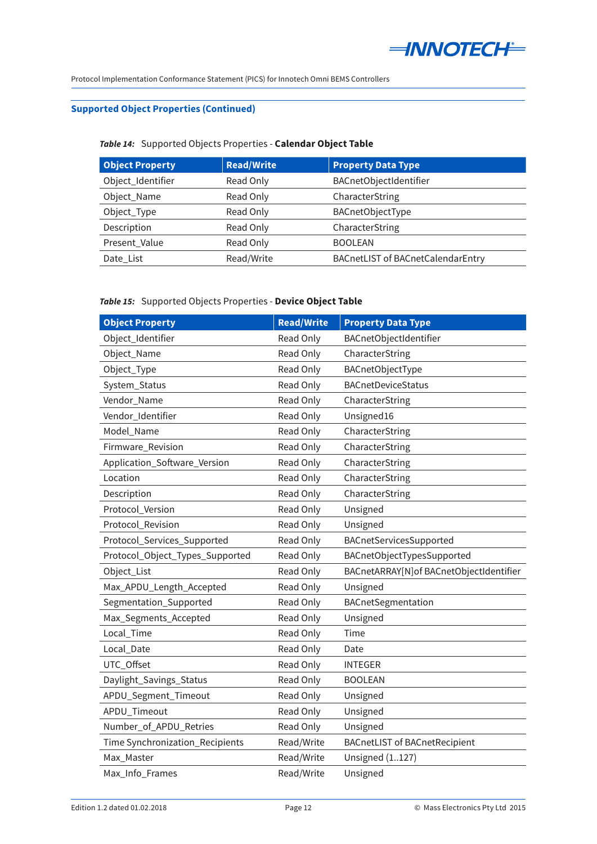

### **Supported Object Properties (Continued)**

### *Table 14:* Supported Objects Properties - **Calendar Object Table**

| <b>Object Property</b> | <b>Read/Write</b> | <b>Property Data Type</b>         |
|------------------------|-------------------|-----------------------------------|
| Object_Identifier      | Read Only         | BACnetObjectIdentifier            |
| Object_Name            | Read Only         | CharacterString                   |
| Object_Type            | Read Only         | BACnetObjectType                  |
| Description            | Read Only         | CharacterString                   |
| Present_Value          | Read Only         | <b>BOOLEAN</b>                    |
| Date List              | Read/Write        | BACnetLIST of BACnetCalendarEntry |

#### *Table 15:* Supported Objects Properties - **Device Object Table**

| <b>Object Property</b>          | <b>Read/Write</b> | <b>Property Data Type</b>               |
|---------------------------------|-------------------|-----------------------------------------|
| Object_Identifier               | Read Only         | BACnetObjectIdentifier                  |
| Object_Name                     | Read Only         | CharacterString                         |
| Object_Type                     | Read Only         | BACnetObjectType                        |
| System_Status                   | Read Only         | <b>BACnetDeviceStatus</b>               |
| Vendor_Name                     | Read Only         | CharacterString                         |
| Vendor_Identifier               | Read Only         | Unsigned16                              |
| Model_Name                      | Read Only         | CharacterString                         |
| Firmware_Revision               | Read Only         | CharacterString                         |
| Application_Software_Version    | Read Only         | CharacterString                         |
| Location                        | Read Only         | CharacterString                         |
| Description                     | Read Only         | CharacterString                         |
| Protocol_Version                | Read Only         | Unsigned                                |
| Protocol_Revision               | Read Only         | Unsigned                                |
| Protocol_Services_Supported     | Read Only         | BACnetServicesSupported                 |
| Protocol_Object_Types_Supported | Read Only         | BACnetObjectTypesSupported              |
| Object_List                     | Read Only         | BACnetARRAY[N]of BACnetObjectIdentifier |
| Max_APDU_Length_Accepted        | Read Only         | Unsigned                                |
| Segmentation_Supported          | Read Only         | BACnetSegmentation                      |
| Max_Segments_Accepted           | Read Only         | Unsigned                                |
| Local_Time                      | Read Only         | Time                                    |
| Local_Date                      | Read Only         | Date                                    |
| UTC_Offset                      | Read Only         | <b>INTEGER</b>                          |
| Daylight_Savings_Status         | Read Only         | <b>BOOLEAN</b>                          |
| APDU_Segment_Timeout            | Read Only         | Unsigned                                |
| APDU_Timeout                    | Read Only         | Unsigned                                |
| Number_of_APDU_Retries          | Read Only         | Unsigned                                |
| Time Synchronization_Recipients | Read/Write        | <b>BACnetLIST of BACnetRecipient</b>    |
| Max Master                      | Read/Write        | <b>Unsigned</b> (1127)                  |
| Max_Info_Frames                 | Read/Write        | Unsigned                                |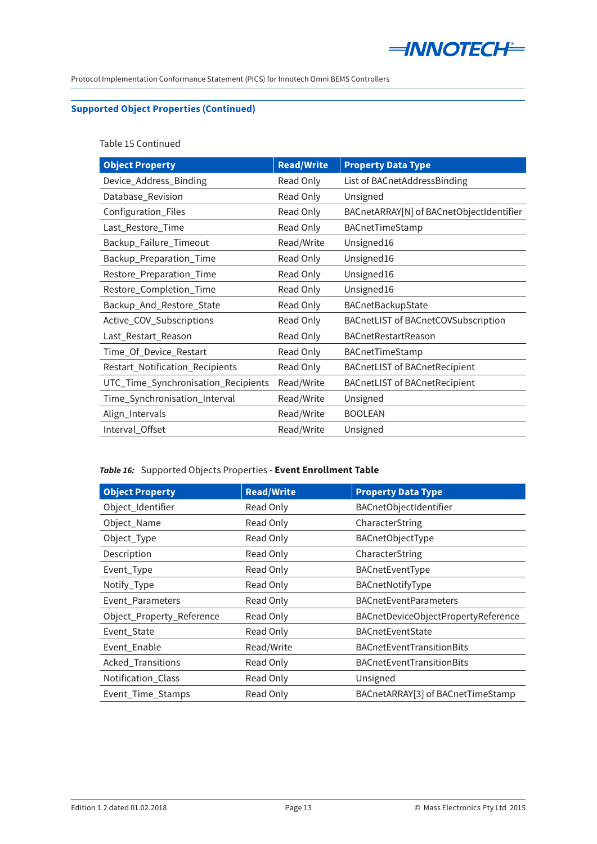

# **Supported Object Properties (Continued)**

Table 15 Continued

| <b>Object Property</b>              | <b>Read/Write</b> | <b>Property Data Type</b>                |
|-------------------------------------|-------------------|------------------------------------------|
| Device_Address_Binding              | Read Only         | List of BACnetAddressBinding             |
| Database_Revision                   | Read Only         | Unsigned                                 |
| Configuration_Files                 | Read Only         | BACnetARRAY[N] of BACnetObjectIdentifier |
| Last_Restore_Time                   | Read Only         | BACnetTimeStamp                          |
| Backup_Failure_Timeout              | Read/Write        | Unsigned16                               |
| Backup_Preparation_Time             | Read Only         | Unsigned16                               |
| Restore_Preparation_Time            | Read Only         | Unsigned16                               |
| Restore_Completion_Time             | Read Only         | Unsigned16                               |
| Backup_And_Restore_State            | Read Only         | BACnetBackupState                        |
| Active_COV_Subscriptions            | Read Only         | BACnetLIST of BACnetCOVSubscription      |
| Last_Restart_Reason                 | Read Only         | <b>BACnetRestartReason</b>               |
| Time_Of_Device_Restart              | Read Only         | BACnetTimeStamp                          |
| Restart_Notification_Recipients     | Read Only         | <b>BACnetLIST of BACnetRecipient</b>     |
| UTC_Time_Synchronisation_Recipients | Read/Write        | <b>BACnetLIST of BACnetRecipient</b>     |
| Time_Synchronisation_Interval       | Read/Write        | Unsigned                                 |
| Align_Intervals                     | Read/Write        | <b>BOOLEAN</b>                           |
| Interval_Offset                     | Read/Write        | Unsigned                                 |

# *Table 16:* Supported Objects Properties - **Event Enrollment Table**

| <b>Object Property</b>    | <b>Read/Write</b> | <b>Property Data Type</b>           |
|---------------------------|-------------------|-------------------------------------|
| Object_Identifier         | Read Only         | BACnetObjectIdentifier              |
| Object_Name               | Read Only         | CharacterString                     |
| Object_Type               | Read Only         | BACnetObjectType                    |
| Description               | Read Only         | CharacterString                     |
| Event_Type                | Read Only         | BACnetEventType                     |
| Notify_Type               | Read Only         | BACnetNotifyType                    |
| Event_Parameters          | Read Only         | <b>BACnetEventParameters</b>        |
| Object_Property_Reference | Read Only         | BACnetDeviceObjectPropertyReference |
| Event_State               | Read Only         | <b>BACnetEventState</b>             |
| Event_Enable              | Read/Write        | <b>BACnetEventTransitionBits</b>    |
| Acked_Transitions         | Read Only         | <b>BACnetEventTransitionBits</b>    |
| Notification_Class        | Read Only         | Unsigned                            |
| Event_Time_Stamps         | Read Only         | BACnetARRAY[3] of BACnetTimeStamp   |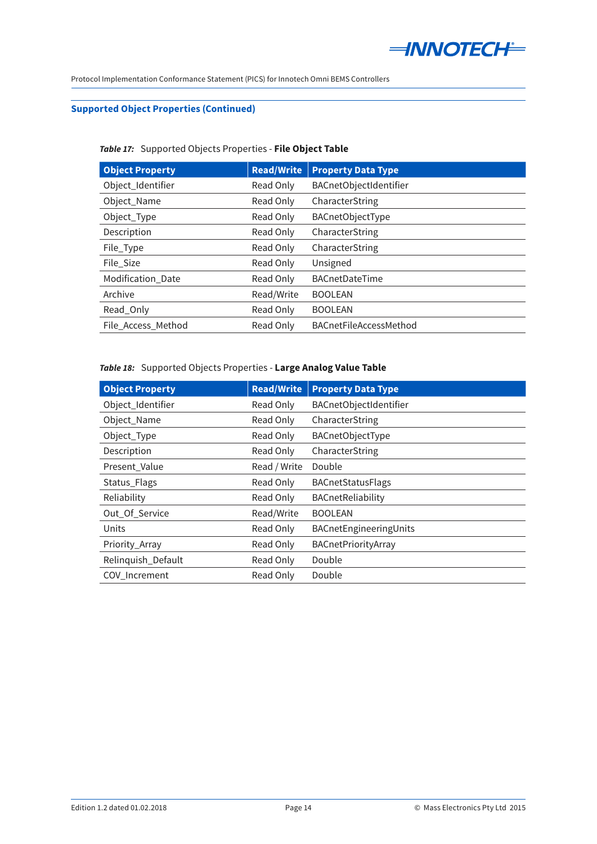

### **Supported Object Properties (Continued)**

#### *Table 17:* Supported Objects Properties - **File Object Table**

| <b>Object Property</b> | <b>Read/Write</b> | <b>Property Data Type</b> |
|------------------------|-------------------|---------------------------|
| Object_Identifier      | Read Only         | BACnetObjectIdentifier    |
| Object_Name            | Read Only         | CharacterString           |
| Object_Type            | Read Only         | BACnetObjectType          |
| Description            | Read Only         | CharacterString           |
| File_Type              | Read Only         | CharacterString           |
| File Size              | Read Only         | Unsigned                  |
| Modification_Date      | Read Only         | <b>BACnetDateTime</b>     |
| Archive                | Read/Write        | <b>BOOLEAN</b>            |
| Read Only              | Read Only         | <b>BOOLEAN</b>            |
| File Access Method     | Read Only         | BACnetFileAccessMethod    |

# *Table 18:* Supported Objects Properties - **Large Analog Value Table**

| <b>Object Property</b> | <b>Read/Write</b> | <b>Property Data Type</b> |
|------------------------|-------------------|---------------------------|
| Object_Identifier      | Read Only         | BACnetObjectIdentifier    |
| Object_Name            | Read Only         | CharacterString           |
| Object_Type            | Read Only         | BACnetObjectType          |
| Description            | Read Only         | CharacterString           |
| Present_Value          | Read / Write      | Double                    |
| Status_Flags           | Read Only         | <b>BACnetStatusFlags</b>  |
| Reliability            | Read Only         | BACnetReliability         |
| Out_Of_Service         | Read/Write        | <b>BOOLEAN</b>            |
| Units                  | Read Only         | BACnetEngineeringUnits    |
| Priority_Array         | Read Only         | BACnetPriorityArray       |
| Relinquish_Default     | Read Only         | Double                    |
| COV Increment          | Read Only         | Double                    |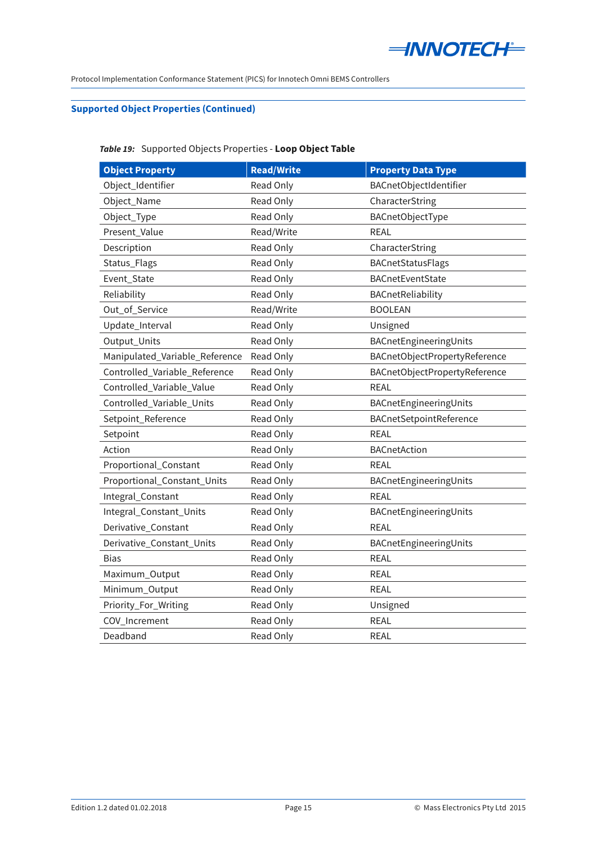

# **Supported Object Properties (Continued)**

# *Table 19:* Supported Objects Properties - **Loop Object Table**

| <b>Object Property</b>         | <b>Read/Write</b> | <b>Property Data Type</b>     |
|--------------------------------|-------------------|-------------------------------|
| Object_Identifier              | Read Only         | BACnetObjectIdentifier        |
| Object_Name                    | Read Only         | CharacterString               |
| Object_Type                    | Read Only         | BACnetObjectType              |
| Present Value                  | Read/Write        | <b>REAL</b>                   |
| Description                    | Read Only         | CharacterString               |
| Status_Flags                   | Read Only         | BACnetStatusFlags             |
| Event_State                    | Read Only         | BACnetEventState              |
| Reliability                    | Read Only         | BACnetReliability             |
| Out_of_Service                 | Read/Write        | <b>BOOLEAN</b>                |
| Update_Interval                | Read Only         | Unsigned                      |
| Output_Units                   | Read Only         | BACnetEngineeringUnits        |
| Manipulated_Variable_Reference | Read Only         | BACnetObjectPropertyReference |
| Controlled_Variable_Reference  | Read Only         | BACnetObjectPropertyReference |
| Controlled_Variable_Value      | Read Only         | <b>REAL</b>                   |
| Controlled_Variable_Units      | Read Only         | BACnetEngineeringUnits        |
| Setpoint_Reference             | Read Only         | BACnetSetpointReference       |
| Setpoint                       | Read Only         | <b>REAL</b>                   |
| Action                         | Read Only         | BACnetAction                  |
| Proportional_Constant          | Read Only         | <b>REAL</b>                   |
| Proportional_Constant_Units    | Read Only         | BACnetEngineeringUnits        |
| Integral_Constant              | Read Only         | <b>REAL</b>                   |
| Integral_Constant_Units        | Read Only         | BACnetEngineeringUnits        |
| Derivative_Constant            | Read Only         | <b>REAL</b>                   |
| Derivative_Constant_Units      | Read Only         | BACnetEngineeringUnits        |
| Bias                           | Read Only         | <b>REAL</b>                   |
| Maximum_Output                 | Read Only         | REAL                          |
| Minimum_Output                 | Read Only         | <b>REAL</b>                   |
| Priority_For_Writing           | Read Only         | Unsigned                      |
| COV_Increment                  | Read Only         | <b>REAL</b>                   |
| Deadband                       | Read Only         | REAL                          |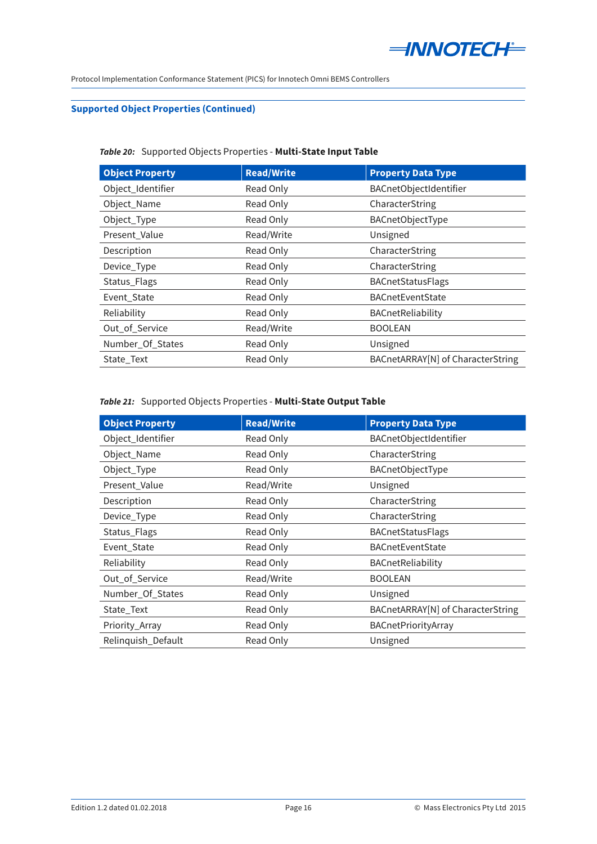

### **Supported Object Properties (Continued)**

### *Table 20:* Supported Objects Properties - **Multi-State Input Table**

| <b>Object Property</b> | <b>Read/Write</b> | <b>Property Data Type</b>         |
|------------------------|-------------------|-----------------------------------|
| Object_Identifier      | Read Only         | BACnetObjectIdentifier            |
| Object_Name            | Read Only         | CharacterString                   |
| Object_Type            | Read Only         | BACnetObjectType                  |
| Present_Value          | Read/Write        | Unsigned                          |
| Description            | Read Only         | CharacterString                   |
| Device_Type            | Read Only         | CharacterString                   |
| Status_Flags           | Read Only         | <b>BACnetStatusFlags</b>          |
| Event_State            | Read Only         | <b>BACnetEventState</b>           |
| Reliability            | Read Only         | <b>BACnetReliability</b>          |
| Out_of_Service         | Read/Write        | <b>BOOLEAN</b>                    |
| Number_Of_States       | Read Only         | Unsigned                          |
| State_Text             | Read Only         | BACnetARRAY[N] of CharacterString |

#### *Table 21:* Supported Objects Properties - **Multi-State Output Table**

| <b>Object Property</b> | <b>Read/Write</b> | <b>Property Data Type</b>         |
|------------------------|-------------------|-----------------------------------|
| Object_Identifier      | Read Only         | BACnetObjectIdentifier            |
| Object_Name            | Read Only         | CharacterString                   |
| Object_Type            | Read Only         | BACnetObjectType                  |
| Present_Value          | Read/Write        | Unsigned                          |
| Description            | Read Only         | CharacterString                   |
| Device_Type            | Read Only         | CharacterString                   |
| Status_Flags           | Read Only         | <b>BACnetStatusFlags</b>          |
| Event_State            | Read Only         | <b>BACnetEventState</b>           |
| Reliability            | Read Only         | BACnetReliability                 |
| Out_of_Service         | Read/Write        | <b>BOOLEAN</b>                    |
| Number_Of_States       | Read Only         | Unsigned                          |
| State_Text             | Read Only         | BACnetARRAY[N] of CharacterString |
| Priority_Array         | Read Only         | BACnetPriorityArray               |
| Relinquish_Default     | Read Only         | Unsigned                          |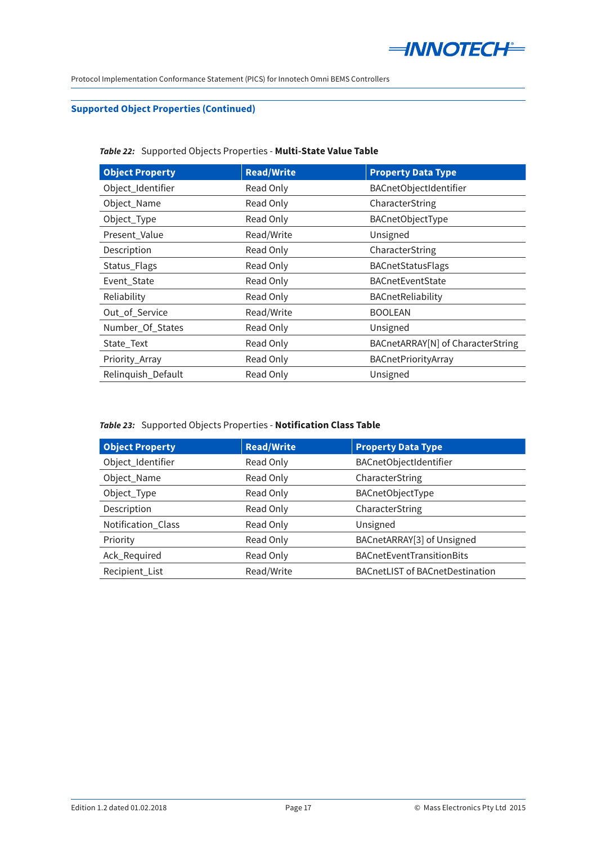

### **Supported Object Properties (Continued)**

### *Table 22:* Supported Objects Properties - **Multi-State Value Table**

| <b>Object Property</b> | <b>Read/Write</b> | <b>Property Data Type</b>         |
|------------------------|-------------------|-----------------------------------|
| Object_Identifier      | Read Only         | BACnetObjectIdentifier            |
| Object_Name            | Read Only         | CharacterString                   |
| Object_Type            | Read Only         | BACnetObjectType                  |
| Present_Value          | Read/Write        | Unsigned                          |
| Description            | Read Only         | CharacterString                   |
| Status_Flags           | Read Only         | <b>BACnetStatusFlags</b>          |
| Event_State            | Read Only         | <b>BACnetEventState</b>           |
| Reliability            | Read Only         | BACnetReliability                 |
| Out_of_Service         | Read/Write        | <b>BOOLEAN</b>                    |
| Number_Of_States       | Read Only         | Unsigned                          |
| State_Text             | Read Only         | BACnetARRAY[N] of CharacterString |
| Priority_Array         | Read Only         | BACnetPriorityArray               |
| Relinquish_Default     | Read Only         | Unsigned                          |

### *Table 23:* Supported Objects Properties - **Notification Class Table**

| <b>Object Property</b> | <b>Read/Write</b> | <b>Property Data Type</b>              |
|------------------------|-------------------|----------------------------------------|
| Object_Identifier      | Read Only         | BACnetObjectIdentifier                 |
| Object_Name            | Read Only         | CharacterString                        |
| Object_Type            | Read Only         | BACnetObjectType                       |
| Description            | Read Only         | CharacterString                        |
| Notification Class     | Read Only         | Unsigned                               |
| Priority               | Read Only         | BACnetARRAY[3] of Unsigned             |
| Ack_Required           | Read Only         | BACnetEventTransitionBits              |
| Recipient_List         | Read/Write        | <b>BACnetLIST of BACnetDestination</b> |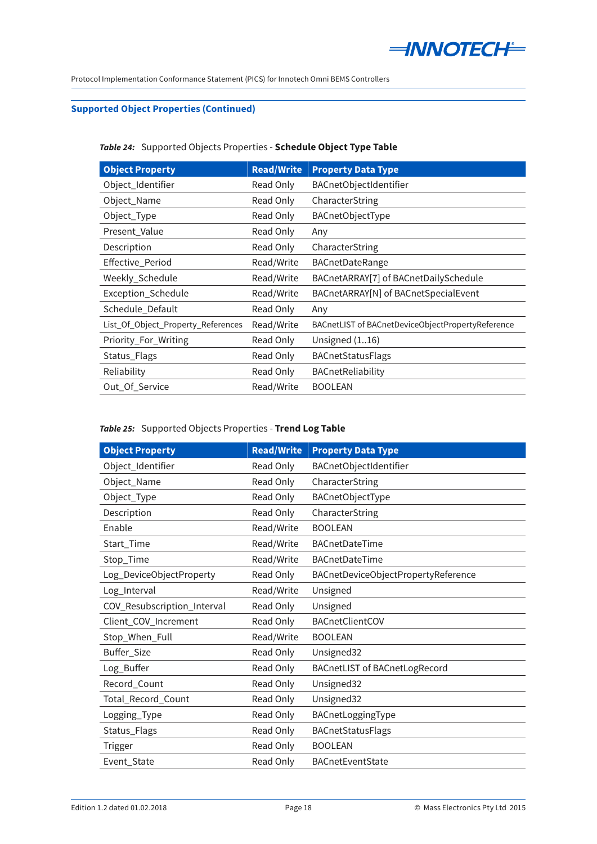

### **Supported Object Properties (Continued)**

#### *Table 24:* Supported Objects Properties - **Schedule Object Type Table**

| <b>Object Property</b>             | <b>Read/Write</b> | <b>Property Data Type</b>                         |
|------------------------------------|-------------------|---------------------------------------------------|
| Object_Identifier                  | Read Only         | <b>BACnetObjectIdentifier</b>                     |
| Object_Name                        | Read Only         | CharacterString                                   |
| Object_Type                        | Read Only         | <b>BACnetObjectType</b>                           |
| Present_Value                      | Read Only         | Any                                               |
| Description                        | Read Only         | CharacterString                                   |
| Effective_Period                   | Read/Write        | BACnetDateRange                                   |
| Weekly_Schedule                    | Read/Write        | BACnetARRAY[7] of BACnetDailySchedule             |
| Exception_Schedule                 | Read/Write        | BACnetARRAY[N] of BACnetSpecialEvent              |
| Schedule_Default                   | Read Only         | Any                                               |
| List_Of_Object_Property_References | Read/Write        | BACnetLIST of BACnetDeviceObjectPropertyReference |
| Priority_For_Writing               | Read Only         | Unsigned $(116)$                                  |
| Status_Flags                       | Read Only         | <b>BACnetStatusFlags</b>                          |
| Reliability                        | Read Only         | BACnetReliability                                 |
| Out Of Service                     | Read/Write        | <b>BOOLEAN</b>                                    |

### *Table 25:* Supported Objects Properties - **Trend Log Table**

| <b>Object Property</b>      | <b>Read/Write</b> | <b>Property Data Type</b>            |
|-----------------------------|-------------------|--------------------------------------|
| Object_Identifier           | Read Only         | BACnetObjectIdentifier               |
| Object_Name                 | Read Only         | CharacterString                      |
| Object_Type                 | Read Only         | BACnetObjectType                     |
| Description                 | Read Only         | CharacterString                      |
| Enable                      | Read/Write        | <b>BOOLEAN</b>                       |
| Start_Time                  | Read/Write        | BACnetDateTime                       |
| Stop_Time                   | Read/Write        | BACnetDateTime                       |
| Log_DeviceObjectProperty    | Read Only         | BACnetDeviceObjectPropertyReference  |
| Log_Interval                | Read/Write        | Unsigned                             |
| COV_Resubscription_Interval | Read Only         | Unsigned                             |
| Client_COV_Increment        | Read Only         | BACnetClientCOV                      |
| Stop_When_Full              | Read/Write        | <b>BOOLEAN</b>                       |
| Buffer_Size                 | Read Only         | Unsigned32                           |
| Log_Buffer                  | Read Only         | <b>BACnetLIST of BACnetLogRecord</b> |
| Record_Count                | Read Only         | Unsigned32                           |
| Total_Record_Count          | Read Only         | Unsigned32                           |
| Logging_Type                | Read Only         | BACnetLoggingType                    |
| Status_Flags                | Read Only         | <b>BACnetStatusFlags</b>             |
| Trigger                     | Read Only         | <b>BOOLEAN</b>                       |
| Event_State                 | Read Only         | <b>BACnetEventState</b>              |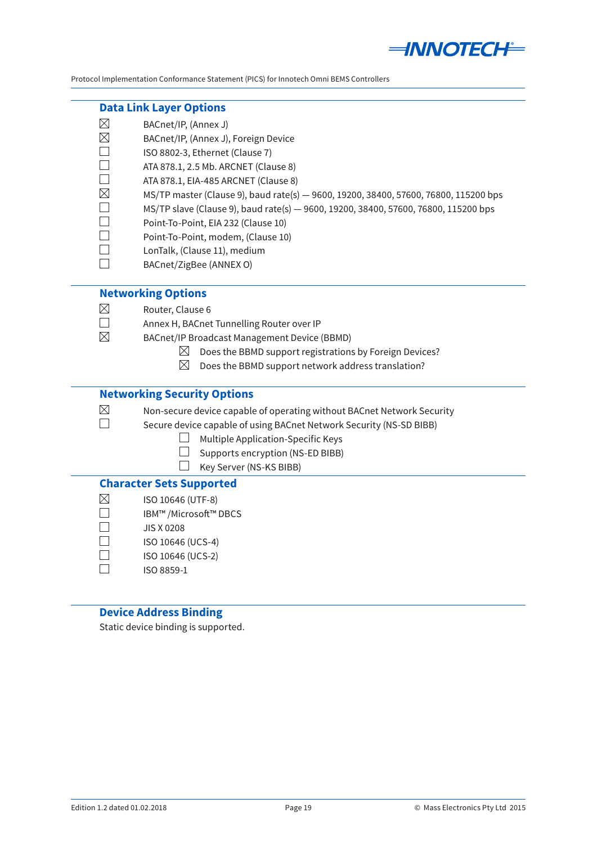

#### <span id="page-18-0"></span>**Data Link Layer Options**

- $\boxtimes$ BACnet/IP, (Annex J)
- $\boxtimes$ BACnet/IP, (Annex J), Foreign Device
- $\Box$ ISO 8802-3, Ethernet (Clause 7)
- $\Box$ ATA 878.1, 2.5 Mb. ARCNET (Clause 8)
- $\Box$ ATA 878.1, EIA-485 ARCNET (Clause 8)
	- MS/TP master (Clause 9), baud rate(s) 9600, 19200, 38400, 57600, 76800, 115200 bps
- $\Box$ MS/TP slave (Clause 9), baud rate(s) — 9600, 19200, 38400, 57600, 76800, 115200 bps
- $\Box$ Point-To-Point, EIA 232 (Clause 10)
- $\Box$ Point-To-Point, modem, (Clause 10)
- $\Box$ LonTalk, (Clause 11), medium
- $\Box$ BACnet/ZigBee (ANNEX O)

# **Networking Options**

- Router, Clause 6
- Annex H, BACnet Tunnelling Router over IP
- BACnet/IP Broadcast Management Device (BBMD)
	- $\boxtimes$  Does the BBMD support registrations by Foreign Devices?
	- $\boxtimes$  Does the BBMD support network address translation?

# **Networking Security Options**

 $\boxtimes$  $\Box$ 

 $\Box$ 

 $\boxtimes$  $\Box$  $\boxtimes$ 

 $\boxtimes$ 

# Non-secure device capable of operating without BACnet Network Security

- Secure device capable of using BACnet Network Security (NS-SD BIBB)
	- $\Box$  Multiple Application-Specific Keys
	- $\Box$  Supports encryption (NS-ED BIBB)
	- $\Box$  Key Server (NS-KS BIBB)

#### **Character Sets Supported**

- $\boxtimes$ ISO 10646 (UTF-8)
- $\Box$ IBM™ /Microsoft™ DBCS
	- JIS X 0208
- $\Box$ ISO 10646 (UCS-4)
- $\Box$ ISO 10646 (UCS-2)
- $\Box$ ISO 8859-1

# **Device Address Binding**

Static device binding is supported.